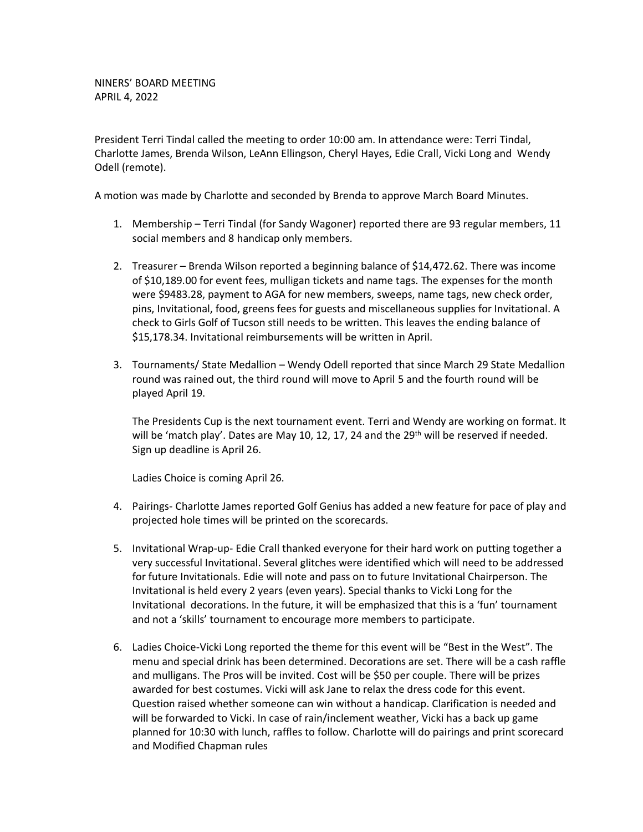NINERS' BOARD MEETING APRIL 4, 2022

President Terri Tindal called the meeting to order 10:00 am. In attendance were: Terri Tindal, Charlotte James, Brenda Wilson, LeAnn Ellingson, Cheryl Hayes, Edie Crall, Vicki Long and Wendy Odell (remote).

A motion was made by Charlotte and seconded by Brenda to approve March Board Minutes.

- 1. Membership Terri Tindal (for Sandy Wagoner) reported there are 93 regular members, 11 social members and 8 handicap only members.
- 2. Treasurer Brenda Wilson reported a beginning balance of \$14,472.62. There was income of \$10,189.00 for event fees, mulligan tickets and name tags. The expenses for the month were \$9483.28, payment to AGA for new members, sweeps, name tags, new check order, pins, Invitational, food, greens fees for guests and miscellaneous supplies for Invitational. A check to Girls Golf of Tucson still needs to be written. This leaves the ending balance of \$15,178.34. Invitational reimbursements will be written in April.
- 3. Tournaments/ State Medallion Wendy Odell reported that since March 29 State Medallion round was rained out, the third round will move to April 5 and the fourth round will be played April 19.

The Presidents Cup is the next tournament event. Terri and Wendy are working on format. It will be 'match play'. Dates are May 10, 12, 17, 24 and the  $29<sup>th</sup>$  will be reserved if needed. Sign up deadline is April 26.

Ladies Choice is coming April 26.

- 4. Pairings- Charlotte James reported Golf Genius has added a new feature for pace of play and projected hole times will be printed on the scorecards.
- 5. Invitational Wrap-up- Edie Crall thanked everyone for their hard work on putting together a very successful Invitational. Several glitches were identified which will need to be addressed for future Invitationals. Edie will note and pass on to future Invitational Chairperson. The Invitational is held every 2 years (even years). Special thanks to Vicki Long for the Invitational decorations. In the future, it will be emphasized that this is a 'fun' tournament and not a 'skills' tournament to encourage more members to participate.
- 6. Ladies Choice-Vicki Long reported the theme for this event will be "Best in the West". The menu and special drink has been determined. Decorations are set. There will be a cash raffle and mulligans. The Pros will be invited. Cost will be \$50 per couple. There will be prizes awarded for best costumes. Vicki will ask Jane to relax the dress code for this event. Question raised whether someone can win without a handicap. Clarification is needed and will be forwarded to Vicki. In case of rain/inclement weather, Vicki has a back up game planned for 10:30 with lunch, raffles to follow. Charlotte will do pairings and print scorecard and Modified Chapman rules